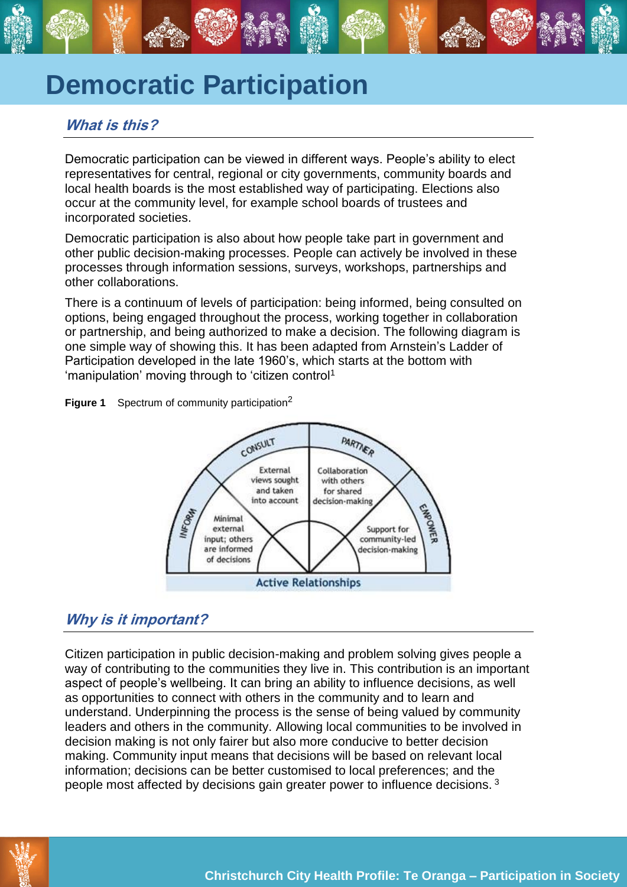# **Democratic Participation**

# **What is this?**

Democratic participation can be viewed in different ways. People's ability to elect representatives for central, regional or city governments, community boards and local health boards is the most established way of participating. Elections also occur at the community level, for example school boards of trustees and incorporated societies.

Democratic participation is also about how people take part in government and other public decision-making processes. People can actively be involved in these processes through information sessions, surveys, workshops, partnerships and other collaborations.

There is a continuum of levels of participation: being informed, being consulted on options, being engaged throughout the process, working together in collaboration or partnership, and being authorized to make a decision. The following diagram is one simple way of showing this. It has been adapted from Arnstein's Ladder of Participation developed in the late 1960's, which starts at the bottom with 'manipulation' moving through to 'citizen control<sup>1</sup>





# **Why is it important?**

Citizen participation in public decision-making and problem solving gives people a way of contributing to the communities they live in. This contribution is an important aspect of people's wellbeing. It can bring an ability to influence decisions, as well as opportunities to connect with others in the community and to learn and understand. Underpinning the process is the sense of being valued by community leaders and others in the community. Allowing local communities to be involved in decision making is not only fairer but also more conducive to better decision making. Community input means that decisions will be based on relevant local information; decisions can be better customised to local preferences; and the people most affected by decisions gain greater power to influence decisions.  $3$ 

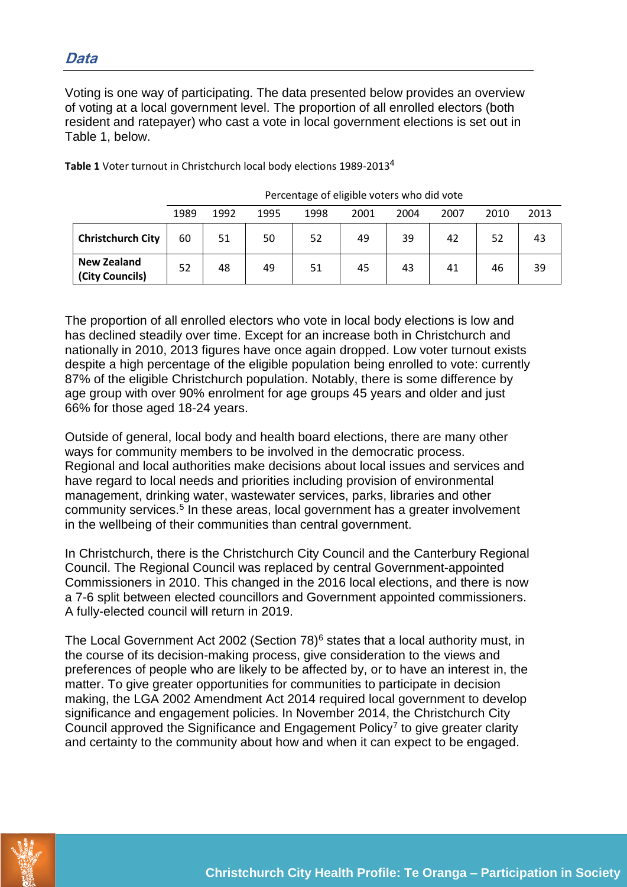Voting is one way of participating. The data presented below provides an overview of voting at a local government level. The proportion of all enrolled electors (both resident and ratepayer) who cast a vote in local government elections is set out in Table 1, below.

|                                       | 1989 | 1992 | 1995 | 1998 | 2001 | 2004 | 2007 | 2010 | 2013 |  |
|---------------------------------------|------|------|------|------|------|------|------|------|------|--|
| <b>Christchurch City</b>              | 60   | 51   | 50   | 52   | 49   | 39   | 42   | 52   | 43   |  |
| <b>New Zealand</b><br>(City Councils) | 52   | 48   | 49   | 51   | 45   | 43   | 41   | 46   | 39   |  |

**Table 1** Voter turnout in Christchurch local body elections 1989-2013<sup>4</sup>

| Percentage of eligible voters who did vote |  |  |  |
|--------------------------------------------|--|--|--|
|                                            |  |  |  |

The proportion of all enrolled electors who vote in local body elections is low and has declined steadily over time. Except for an increase both in Christchurch and nationally in 2010, 2013 figures have once again dropped. Low voter turnout exists despite a high percentage of the eligible population being enrolled to vote: currently 87% of the eligible Christchurch population. Notably, there is some difference by age group with over 90% enrolment for age groups 45 years and older and just 66% for those aged 18-24 years.

Outside of general, local body and health board elections, there are many other ways for community members to be involved in the democratic process. Regional and local authorities make decisions about local issues and services and have regard to local needs and priorities including provision of environmental management, drinking water, wastewater services, parks, libraries and other community services.<sup>5</sup> In these areas, local government has a greater involvement in the wellbeing of their communities than central government.

In Christchurch, there is the Christchurch City Council and the Canterbury Regional Council. The Regional Council was replaced by central Government-appointed Commissioners in 2010. This changed in the 2016 local elections, and there is now a 7-6 split between elected councillors and Government appointed commissioners. A fully-elected council will return in 2019.

The Local Government Act 2002 (Section  $78)$ <sup>6</sup> states that a local authority must, in the course of its decision-making process, give consideration to the views and preferences of people who are likely to be affected by, or to have an interest in, the matter. To give greater opportunities for communities to participate in decision making, the LGA 2002 Amendment Act 2014 required local government to develop significance and engagement policies. In November 2014, the Christchurch City Council approved the Significance and Engagement Policy<sup>7</sup> to give greater clarity and certainty to the community about how and when it can expect to be engaged.

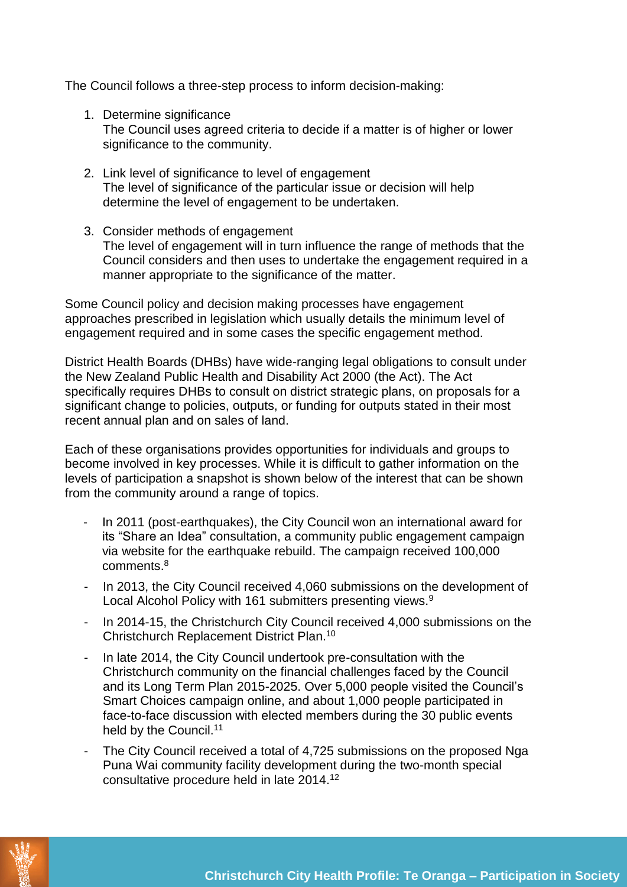The Council follows a three-step process to inform decision-making:

- 1. Determine significance The Council uses agreed criteria to decide if a matter is of higher or lower significance to the community.
- 2. Link level of significance to level of engagement The level of significance of the particular issue or decision will help determine the level of engagement to be undertaken.
- 3. Consider methods of engagement The level of engagement will in turn influence the range of methods that the Council considers and then uses to undertake the engagement required in a manner appropriate to the significance of the matter.

Some Council policy and decision making processes have engagement approaches prescribed in legislation which usually details the minimum level of engagement required and in some cases the specific engagement method.

District Health Boards (DHBs) have wide-ranging legal obligations to consult under the New Zealand Public Health and Disability Act 2000 (the Act). The Act specifically requires DHBs to consult on district strategic plans, on proposals for a significant change to policies, outputs, or funding for outputs stated in their most recent annual plan and on sales of land.

Each of these organisations provides opportunities for individuals and groups to become involved in key processes. While it is difficult to gather information on the levels of participation a snapshot is shown below of the interest that can be shown from the community around a range of topics.

- In 2011 (post-earthquakes), the City Council won an international award for its "Share an Idea" consultation, a community public engagement campaign via website for the earthquake rebuild. The campaign received 100,000 comments. 8
- In 2013, the City Council received 4,060 submissions on the development of Local Alcohol Policy with 161 submitters presenting views.<sup>9</sup>
- In 2014-15, the Christchurch City Council received 4,000 submissions on the Christchurch Replacement District Plan. 10
- In late 2014, the City Council undertook pre-consultation with the Christchurch community on the financial challenges faced by the Council and its Long Term Plan 2015-2025. Over 5,000 people visited the Council's Smart Choices campaign online, and about 1,000 people participated in face-to-face discussion with elected members during the 30 public events held by the Council.<sup>11</sup>
- The City Council received a total of 4,725 submissions on the proposed Nga Puna Wai community facility development during the two-month special consultative procedure held in late 2014.12

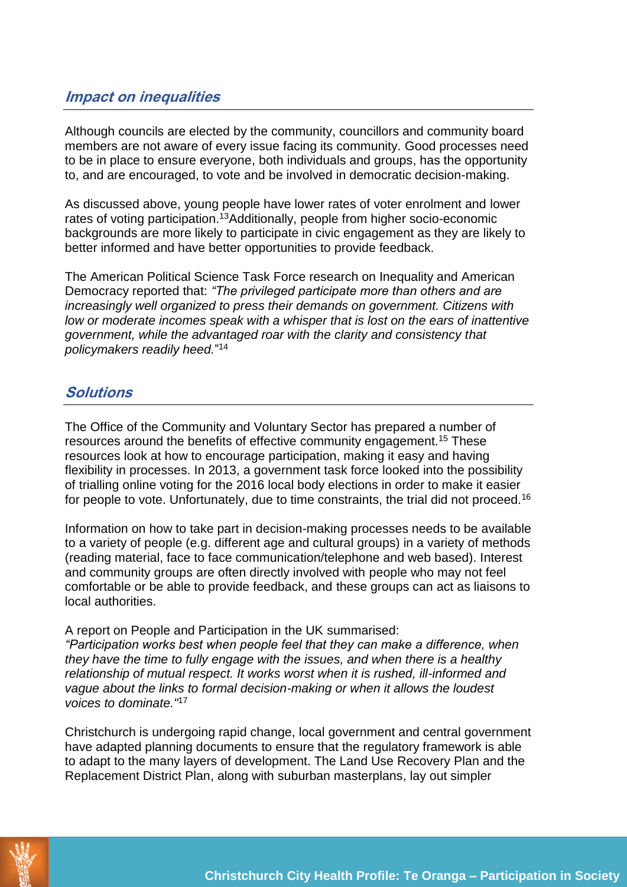## **Impact on inequalities**

Although councils are elected by the community, councillors and community board members are not aware of every issue facing its community. Good processes need to be in place to ensure everyone, both individuals and groups, has the opportunity to, and are encouraged, to vote and be involved in democratic decision-making.

As discussed above, young people have lower rates of voter enrolment and lower rates of voting participation.<sup>13</sup>Additionally, people from higher socio-economic backgrounds are more likely to participate in civic engagement as they are likely to better informed and have better opportunities to provide feedback.

The American Political Science Task Force research on Inequality and American Democracy reported that: *"The privileged participate more than others and are increasingly well organized to press their demands on government. Citizens with low or moderate incomes speak with a whisper that is lost on the ears of inattentive government, while the advantaged roar with the clarity and consistency that policymakers readily heed.*" 14

## **Solutions**

The Office of the Community and Voluntary Sector has prepared a number of resources around the benefits of effective community engagement.<sup>15</sup> These resources look at how to encourage participation, making it easy and having flexibility in processes. In 2013, a government task force looked into the possibility of trialling online voting for the 2016 local body elections in order to make it easier for people to vote. Unfortunately, due to time constraints, the trial did not proceed.<sup>16</sup>

Information on how to take part in decision-making processes needs to be available to a variety of people (e.g. different age and cultural groups) in a variety of methods (reading material, face to face communication/telephone and web based). Interest and community groups are often directly involved with people who may not feel comfortable or be able to provide feedback, and these groups can act as liaisons to local authorities.

A report on People and Participation in the UK summarised: *"Participation works best when people feel that they can make a difference, when they have the time to fully engage with the issues, and when there is a healthy relationship of mutual respect. It works worst when it is rushed, ill-informed and vague about the links to formal decision-making or when it allows the loudest voices to dominate."*<sup>17</sup>

Christchurch is undergoing rapid change, local government and central government have adapted planning documents to ensure that the regulatory framework is able to adapt to the many layers of development. The Land Use Recovery Plan and the Replacement District Plan, along with suburban masterplans, lay out simpler

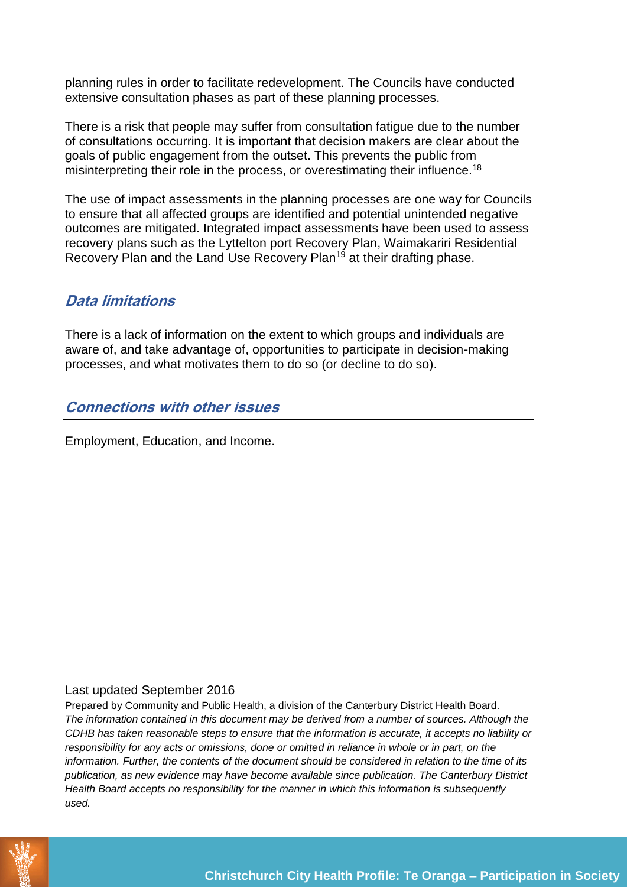planning rules in order to facilitate redevelopment. The Councils have conducted extensive consultation phases as part of these planning processes.

There is a risk that people may suffer from consultation fatigue due to the number of consultations occurring. It is important that decision makers are clear about the goals of public engagement from the outset. This prevents the public from misinterpreting their role in the process, or overestimating their influence.<sup>18</sup>

The use of impact assessments in the planning processes are one way for Councils to ensure that all affected groups are identified and potential unintended negative outcomes are mitigated. Integrated impact assessments have been used to assess recovery plans such as the Lyttelton port Recovery Plan, Waimakariri Residential Recovery Plan and the Land Use Recovery Plan<sup>19</sup> at their drafting phase.

#### **Data limitations**

There is a lack of information on the extent to which groups and individuals are aware of, and take advantage of, opportunities to participate in decision-making processes, and what motivates them to do so (or decline to do so).

#### **Connections with other issues**

Employment, Education, and Income.

#### Last updated September 2016

Prepared by Community and Public Health, a division of the Canterbury District Health Board. *The information contained in this document may be derived from a number of sources. Although the CDHB has taken reasonable steps to ensure that the information is accurate, it accepts no liability or responsibility for any acts or omissions, done or omitted in reliance in whole or in part, on the information. Further, the contents of the document should be considered in relation to the time of its publication, as new evidence may have become available since publication. The Canterbury District Health Board accepts no responsibility for the manner in which this information is subsequently used.*